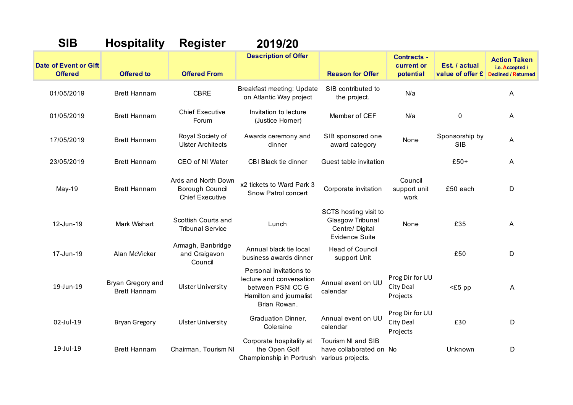| <b>SIB</b>                                     | <b>Hospitality</b>                       | <b>Register</b>                                                  | 2019/20                                                                                                             |                                                                                       |                                                 |                                   |                                                                      |
|------------------------------------------------|------------------------------------------|------------------------------------------------------------------|---------------------------------------------------------------------------------------------------------------------|---------------------------------------------------------------------------------------|-------------------------------------------------|-----------------------------------|----------------------------------------------------------------------|
| <b>Date of Event or Gift</b><br><b>Offered</b> | <b>Offered to</b>                        | <b>Offered From</b>                                              | <b>Description of Offer</b>                                                                                         | <b>Reason for Offer</b>                                                               | <b>Contracts -</b><br>current or<br>potential   | Est. / actual<br>value of offer £ | <b>Action Taken</b><br>i.e. Accepted /<br><b>Declined / Returned</b> |
| 01/05/2019                                     | <b>Brett Hannam</b>                      | <b>CBRE</b>                                                      | Breakfast meeting: Update<br>on Atlantic Way project                                                                | SIB contributed to<br>the project.                                                    | N/a                                             |                                   | A                                                                    |
| 01/05/2019                                     | <b>Brett Hannam</b>                      | <b>Chief Executive</b><br>Forum                                  | Invitation to lecture<br>(Justice Homer)                                                                            | Member of CEF                                                                         | N/a                                             | 0                                 | A                                                                    |
| 17/05/2019                                     | <b>Brett Hannam</b>                      | Royal Society of<br><b>Ulster Architects</b>                     | Awards ceremony and<br>dinner                                                                                       | SIB sponsored one<br>award category                                                   | None                                            | Sponsorship by<br><b>SIB</b>      | A                                                                    |
| 23/05/2019                                     | <b>Brett Hannam</b>                      | CEO of NI Water                                                  | CBI Black tie dinner                                                                                                | Guest table invitation                                                                |                                                 | $£50+$                            | A                                                                    |
| May-19                                         | <b>Brett Hannam</b>                      | Ards and North Down<br>Borough Council<br><b>Chief Executive</b> | x2 tickets to Ward Park 3<br>Snow Patrol concert                                                                    | Corporate invitation                                                                  | Council<br>support unit<br>work                 | £50 each                          | D                                                                    |
| 12-Jun-19                                      | Mark Wishart                             | Scottish Courts and<br><b>Tribunal Service</b>                   | Lunch                                                                                                               | SCTS hosting visit to<br>Glasgow Tribunal<br>Centre/ Digital<br><b>Evidence Suite</b> | None                                            | £35                               | A                                                                    |
| 17-Jun-19                                      | Alan McVicker                            | Armagh, Banbridge<br>and Craigavon<br>Council                    | Annual black tie local<br>business awards dinner                                                                    | <b>Head of Council</b><br>support Unit                                                |                                                 | £50                               | D                                                                    |
| 19-Jun-19                                      | Bryan Gregory and<br><b>Brett Hannam</b> | <b>Ulster University</b>                                         | Personal invitations to<br>lecture and conversation<br>between PSNI CC G<br>Hamilton and journalist<br>Brian Rowan. | Annual event on UU<br>calendar                                                        | Prog Dir for UU<br><b>City Deal</b><br>Projects | <£5 pp                            | A                                                                    |
| 02-Jul-19                                      | <b>Bryan Gregory</b>                     | <b>Ulster University</b>                                         | Graduation Dinner,<br>Coleraine                                                                                     | Annual event on UU<br>calendar                                                        | Prog Dir for UU<br>City Deal<br>Projects        | £30                               | D                                                                    |
| 19-Jul-19                                      | <b>Brett Hannam</b>                      | Chairman, Tourism NI                                             | Corporate hospitality at<br>the Open Golf<br>Championship in Portrush                                               | Tourism NI and SIB<br>have collaborated on No<br>various projects.                    |                                                 | Unknown                           | D                                                                    |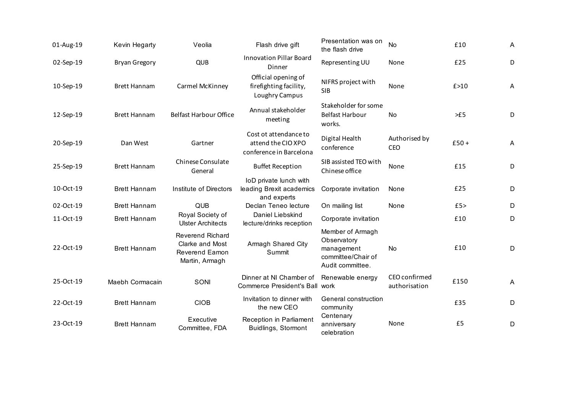| 01-Aug-19 | Kevin Hegarty        | Veolia                                                                         | Flash drive gift                                                       | Presentation was on<br>the flash drive                                                  | No                             | £10    | A              |
|-----------|----------------------|--------------------------------------------------------------------------------|------------------------------------------------------------------------|-----------------------------------------------------------------------------------------|--------------------------------|--------|----------------|
| 02-Sep-19 | <b>Bryan Gregory</b> | QUB                                                                            | <b>Innovation Pillar Board</b><br>Dinner                               | Representing UU                                                                         | None                           | £25    | D              |
| 10-Sep-19 | <b>Brett Hannam</b>  | Carmel McKinney                                                                | Official opening of<br>firefighting facility,<br>Loughry Campus        | NIFRS project with<br><b>SIB</b>                                                        | None                           | f > 10 | Α              |
| 12-Sep-19 | <b>Brett Hannam</b>  | <b>Belfast Harbour Office</b>                                                  | Annual stakeholder<br>meeting                                          | Stakeholder for some<br><b>Belfast Harbour</b><br>works.                                | No                             | >E5    | D              |
| 20-Sep-19 | Dan West             | Gartner                                                                        | Cost ot attendance to<br>attend the CIO XPO<br>conference in Barcelona | Digital Health<br>conference                                                            | Authorised by<br>CEO           | $£50+$ | Α              |
| 25-Sep-19 | <b>Brett Hannam</b>  | Chinese Consulate<br>General                                                   | <b>Buffet Reception</b>                                                | SIB assisted TEO with<br>Chinese office                                                 | None                           | £15    | D              |
| 10-Oct-19 | <b>Brett Hannam</b>  | Institute of Directors                                                         | IoD private lunch with<br>leading Brexit academics<br>and experts      | Corporate invitation                                                                    | None                           | £25    | D              |
| 02-Oct-19 | <b>Brett Hannam</b>  | QUB                                                                            | Declan Teneo lecture                                                   | On mailing list                                                                         | None                           | £5>    | $\mathsf D$    |
| 11-Oct-19 | <b>Brett Hannam</b>  | Royal Society of<br><b>Ulster Architects</b>                                   | Daniel Liebskind<br>lecture/drinks reception                           | Corporate invitation                                                                    |                                | £10    | D              |
| 22-Oct-19 | <b>Brett Hannam</b>  | <b>Reverend Richard</b><br>Clarke and Most<br>Reverend Eamon<br>Martin, Armagh | Armagh Shared City<br>Summit                                           | Member of Armagh<br>Observatory<br>management<br>committee/Chair of<br>Audit committee. | No                             | £10    | D              |
| 25-Oct-19 | Maebh Cormacain      | SONI                                                                           | Dinner at NI Chamber of<br>Commerce President's Ball work              | Renewable energy                                                                        | CEO confirmed<br>authorisation | £150   | $\overline{A}$ |
| 22-Oct-19 | <b>Brett Hannam</b>  | <b>CIOB</b>                                                                    | Invitation to dinner with<br>the new CEO                               | General construction<br>community                                                       |                                | £35    | D              |
| 23-Oct-19 | <b>Brett Hannam</b>  | Executive<br>Committee, FDA                                                    | Reception in Parliament<br>Buidlings, Stormont                         | Centenary<br>anniversary<br>celebration                                                 | None                           | £5     | D              |